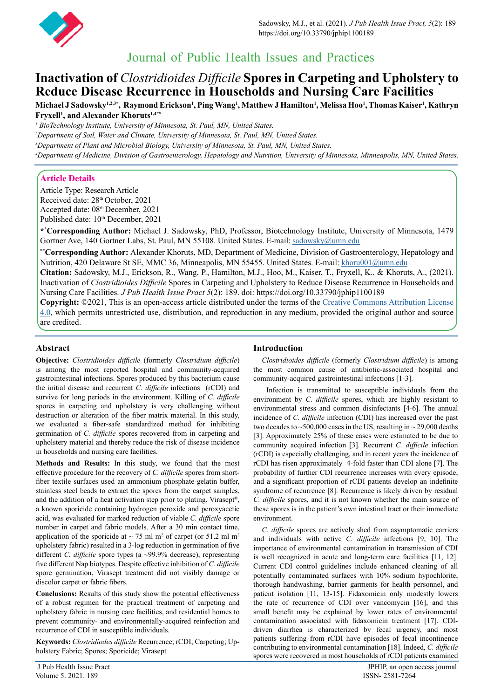

# Journal of Public Health Issues and Practices

## **Inactivation of** *Clostridioides Difficile* **Spores in Carpeting and Upholstery to Reduce Disease Recurrence in Households and Nursing Care Facilities**

 $\bf{M}$ ichael J Sadowsky<sup>1,2,3\*</sup>, Raymond Erickson<sup>1</sup>, Ping Wang<sup>1</sup>, Matthew J Hamilton<sup>1</sup>, Melissa Hoo<sup>1</sup>, Thomas Kaiser<sup>1</sup>, Kathryn **Fryxell1 , and Alexander Khoruts1,4\*\***

*1 BioTechnology Institute, University of Minnesota, St. Paul, MN, United States.*

*2 Department of Soil, Water and Climate, University of Minnesota, St. Paul, MN, United States.*

*3 Department of Plant and Microbial Biology, University of Minnesota, St. Paul, MN, United States.*

*4 Department of Medicine, Division of Gastroenterology, Hepatology and Nutrition, University of Minnesota, Minneapolis, MN, United States.*

## **Article Details**

Article Type: Research Article Received date: 28<sup>th</sup> October, 2021 Accepted date: 08<sup>th</sup> December, 2021 Published date:  $10^{th}$  December, 2021

**\*\* Corresponding Author:** Michael J. Sadowsky, PhD, Professor, Biotechnology Institute, University of Minnesota, 1479 Gortner Ave, 140 Gortner Labs, St. Paul, MN 55108. United States. E-mail: [sadowsky@umn.edu](mailto:sadowsky%40umn.edu?subject=sadowsky%40umn.edu)

**\*\*Corresponding Author:** Alexander Khoruts, MD, Department of Medicine, Division of Gastroenterology, Hepatology and Nutrition, 420 Delaware St SE, MMC 36, Minneapolis, MN 55455. United States. E-mail: [khoru001@umn.edu](mailto:khoru001%40umn.edu%20?subject=khoru001%40umn.edu)

**Citation:** Sadowsky, M.J., Erickson, R., Wang, P., Hamilton, M.J., Hoo, M., Kaiser, T., Fryxell, K., & Khoruts, A., (2021). Inactivation of *Clostridioides Difficile* Spores in Carpeting and Upholstery to Reduce Disease Recurrence in Households and Nursing Care Facilities. *J Pub Health Issue Pract 5*(2): 189. doi: https://doi.org/10.33790/jphip1100189

**Copyright:** ©2021, This is an open-access article distributed under the terms of the [Creative Commons Attribution License](http://Creative Commons Attribution License 4.0)  [4.0,](http://Creative Commons Attribution License 4.0) which permits unrestricted use, distribution, and reproduction in any medium, provided the original author and source are credited.

## **Abstract**

**Objective:** *Clostridioides difficile* (formerly *Clostridium difficile*) is among the most reported hospital and community-acquired gastrointestinal infections. Spores produced by this bacterium cause the initial disease and recurrent *C. difficile* infections (rCDI) and survive for long periods in the environment. Killing of *C. difficile*  spores in carpeting and upholstery is very challenging without destruction or alteration of the fiber matrix material. In this study, we evaluated a fiber-safe standardized method for inhibiting germination of *C. difficile* spores recovered from in carpeting and upholstery material and thereby reduce the risk of disease incidence in households and nursing care facilities.

**Methods and Results:** In this study, we found that the most effective procedure for the recovery of *C. difficile* spores from shortfiber textile surfaces used an ammonium phosphate-gelatin buffer, stainless steel beads to extract the spores from the carpet samples, and the addition of a heat activation step prior to plating. Virasept®, a known sporicide containing hydrogen peroxide and peroxyacetic acid, was evaluated for marked reduction of viable *C. difficile* spore number in carpet and fabric models. After a 30 min contact time, application of the sporicide at  $\sim$  75 ml m<sup>2</sup> of carpet (or 51.2 ml m<sup>2</sup> upholstery fabric) resulted in a 3-log reduction in germination of five different *C. difficile* spore types (a ~99.9% decrease), representing five different Nap biotypes. Despite effective inhibition of *C. difficile* spore germination, Virasept treatment did not visibly damage or discolor carpet or fabric fibers.

**Conclusions:** Results of this study show the potential effectiveness of a robust regimen for the practical treatment of carpeting and upholstery fabric in nursing care facilities, and residential homes to prevent community- and environmentally-acquired reinfection and recurrence of CDI in susceptible individuals.

**Keywords:** *Clostridiodes difficile* Recurrence; rCDI; Carpeting; Upholstery Fabric; Spores; Sporicide; Virasept

### **Introduction**

 *Clostridioides difficile* (formerly *Clostridium difficile*) is among the most common cause of antibiotic-associated hospital and community-acquired gastrointestinal infections [1-3].

 Infection is transmitted to susceptible individuals from the environment by *C. difficile* spores, which are highly resistant to environmental stress and common disinfectants [4-6]. The annual incidence of *C. difficile* infection (CDI) has increased over the past two decades to  $\sim$  500,000 cases in the US, resulting in  $\sim$  29,000 deaths [3]. Approximately 25% of these cases were estimated to be due to community acquired infection [3]. Recurrent *C. difficile* infection (rCDI) is especially challenging, and in recent years the incidence of rCDI has risen approximately 4-fold faster than CDI alone [7]. The probability of further CDI recurrence increases with every episode, and a significant proportion of rCDI patients develop an indefinite syndrome of recurrence [8]. Recurrence is likely driven by residual *C. difficile* spores, and it is not known whether the main source of these spores is in the patient's own intestinal tract or their immediate environment.

 *C. difficile* spores are actively shed from asymptomatic carriers and individuals with active *C. difficile* infections [9, 10]. The importance of environmental contamination in transmission of CDI is well recognized in acute and long-term care facilities [11, 12]. Current CDI control guidelines include enhanced cleaning of all potentially contaminated surfaces with 10% sodium hypochlorite, thorough handwashing, barrier garments for health personnel, and patient isolation [11, 13-15]. Fidaxomicin only modestly lowers the rate of recurrence of CDI over vancomycin [16], and this small benefit may be explained by lower rates of environmental contamination associated with fidaxomicin treatment [17]. CDIdriven diarrhea is characterized by fecal urgency, and most patients suffering from rCDI have episodes of fecal incontinence contributing to environmental contamination [18]. Indeed, *C. difficile*  spores were recovered in most households of rCDI patients examined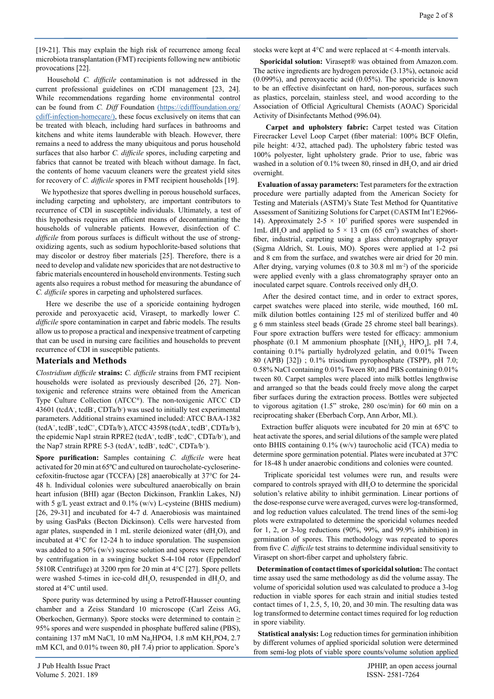[19-21]. This may explain the high risk of recurrence among fecal microbiota transplantation (FMT) recipients following new antibiotic provocations [22].

 Household *C. difficile* contamination is not addressed in the current professional guidelines on rCDI management [23, 24]. While recommendations regarding home environmental control can be found from *C. Diff* Foundation [\(https://cdifffoundation.org/]((https://cdifffoundation.org/cdiff-infection-homecare/)) [cdiff-infection-homecare/\),]((https://cdifffoundation.org/cdiff-infection-homecare/)) these focus exclusively on items that can be treated with bleach, including hard surfaces in bathrooms and kitchens and white items launderable with bleach. However, there remains a need to address the many ubiquitous and porus household surfaces that also harbor *C. difficile* spores, including carpeting and fabrics that cannot be treated with bleach without damage. In fact, the contents of home vacuum cleaners were the greatest yield sites for recovery of *C. difficile* spores in FMT recipient households [19].

 We hypothesize that spores dwelling in porous household surfaces, including carpeting and upholstery, are important contributors to recurrence of CDI in susceptible individuals. Ultimately, a test of this hypothesis requires an efficient means of decontaminating the households of vulnerable patients. However, disinfection of *C. difficile* from porous surfaces is difficult without the use of strongoxidizing agents, such as sodium hypochlorite-based solutions that may discolor or destroy fiber materials [25]. Therefore, there is a need to develop and validate new sporicides that are not destructive to fabric materials encountered in household environments. Testing such agents also requires a robust method for measuring the abundance of *C. difficile* spores in carpeting and upholstered surfaces.

 Here we describe the use of a sporicide containing hydrogen peroxide and peroxyacetic acid, Virasept, to markedly lower *C. difficile* spore contamination in carpet and fabric models. The results allow us to propose a practical and inexpensive treatment of carpeting that can be used in nursing care facilities and households to prevent recurrence of CDI in susceptible patients.

#### **Materials and Methods**

*Clostridium difficile* **strains:** *C. difficile* strains from FMT recipient households were isolated as previously described [26, 27]. Nontoxigenic and reference strains were obtained from the American Type Culture Collection (ATCC®). The non-toxigenic ATCC CD 43601 (tcdA- , tcdB- , CDTa/b- ) was used to initially test experimental parameters. Additional strains examined included: ATCC BAA-1382  $(tcdA<sup>+</sup>, tcdB<sup>+</sup>, tcdC<sup>+</sup>, CDTa/b<sup>-</sup>), ATCC 43598 (tcdA<sup>-</sup>, tcdB<sup>+</sup>, CDTa/b<sup>-</sup>),$ the epidemic Nap1 strain RPRE2 (tcdA<sup>+</sup>, tcdB<sup>+</sup>, tcdC<sup>+</sup>, CDTa/b<sup>+</sup>), and the Nap7 strain RPRE 5-3 (tcdA<sup>+</sup>, tcdB<sup>+</sup>, tcdC<sup>+</sup>, CDTa/b<sup>+</sup>).

**Spore purification:** Samples containing *C. difficile* were heat activated for 20 min at 65ºC and cultured on taurocholate-cycloserinecefoxitin-fructose agar (TCCFA) [28] anaerobically at 37°C for 24- 48 h. Individual colonies were subcultured anaerobically on brain heart infusion (BHI) agar (Becton Dickinson, Franklin Lakes, NJ) with 5 g/L yeast extract and 0.1% (w/v) L-cysteine (BHIS medium) [26, 29-31] and incubated for 4-7 d. Anaerobiosis was maintained by using GasPaks (Becton Dickinson). Cells were harvested from agar plates, suspended in 1 mL sterile deionized water  $(dH_2O)$ , and incubated at 4°C for 12-24 h to induce sporulation. The suspension was added to a 50% (w/v) sucrose solution and spores were pelleted by centrifugation in a swinging bucket S-4-104 rotor (Eppendorf 5810R Centrifuge) at 3200 rpm for 20 min at 4°C [27]. Spore pellets were washed 5-times in ice-cold  $dH_2O$ , resuspended in  $dH_2O$ , and stored at 4°C until used.

 Spore purity was determined by using a Petroff-Hausser counting chamber and a Zeiss Standard 10 microscope (Carl Zeiss AG, Oberkochen, Germany). Spore stocks were determined to contain ≥ 95% spores and were suspended in phosphate buffered saline (PBS), containing 137 mM NaCl, 10 mM Na<sub>2</sub>HPO4, 1.8 mM  $KH_2PO4$ , 2.7 mM KCl, and 0.01% tween 80, pH 7.4) prior to application. Spore's

stocks were kept at 4°C and were replaced at < 4-month intervals.

 **Sporicidal solution:** Virasept® was obtained from Amazon.com. The active ingredients are hydrogen peroxide (3.13%), octanoic acid (0.099%), and peroxyacetic acid (0.05%). The sporicide is known to be an effective disinfectant on hard, non-porous, surfaces such as plastics, porcelain, stainless steel, and wood according to the Association of Official Agricultural Chemists (AOAC) Sporicidal Activity of Disinfectants Method (996.04).

 **Carpet and upholstery fabric:** Carpet tested was Citation Firecracker Level Loop Carpet (fiber material: 100% BCF Olefin, pile height: 4/32, attached pad). The upholstery fabric tested was 100% polyester, light upholstery grade. Prior to use, fabric was washed in a solution of 0.1% tween 80, rinsed in  $dH_2O$ , and air dried overnight.

 **Evaluation of assay parameters:** Test parameters for the extraction procedure were partially adapted from the American Society for Testing and Materials (ASTM)'s State Test Method for Quantitative Assessment of Sanitizing Solutions for Carpet (©ASTM Int'l E2966- 14). Approximately  $2-5 \times 10^7$  purified spores were suspended in 1mL dH<sub>2</sub>O and applied to  $5 \times 13$  cm (65 cm<sup>2</sup>) swatches of shortfiber, industrial, carpeting using a glass chromatography sprayer (Sigma Aldrich, St. Louis, MO). Spores were applied at 1-2 psi and 8 cm from the surface, and swatches were air dried for 20 min. After drying, varying volumes (0.8 to 30.8 ml m-2) of the sporicide were applied evenly with a glass chromatography sprayer onto an inoculated carpet square. Controls received only  $dH_2O$ .

 After the desired contact time, and in order to extract spores, carpet swatches were placed into sterile, wide mouthed, 160 mL milk dilution bottles containing 125 ml of sterilized buffer and 40 g 6 mm stainless steel beads (Grade 25 chrome steel ball bearings). Four spore extraction buffers were tested for efficacy: ammonium phosphate (0.1 M ammonium phosphate  $\text{[NH}_4)$ <sub>2</sub> HPO<sub>4</sub>], pH 7.4, containing 0.1% partially hydrolyzed gelatin, and 0.01% Tween 80 (APB) [32]) ; 0.1% trisodium pyrophosphate (TSPP), pH 7.0; 0.58% NaCl containing 0.01% Tween 80; and PBS containing 0.01% tween 80. Carpet samples were placed into milk bottles lengthwise and arranged so that the beads could freely move along the carpet fiber surfaces during the extraction process. Bottles were subjected to vigorous agitation (1.5" stroke, 280 osc/min) for 60 min on a reciprocating shaker (Eberbach Corp, Ann Arbor, MI.).

 Extraction buffer aliquots were incubated for 20 min at 65ºC to heat activate the spores, and serial dilutions of the sample were plated onto BHIS containing 0.1% (w/v) taurocholic acid (TCA) media to determine spore germination potential. Plates were incubated at 37ºC for 18-48 h under anaerobic conditions and colonies were counted.

 Triplicate sporicidal test volumes were run, and results were compared to controls sprayed with  $dH_2O$  to determine the sporicidal solution's relative ability to inhibit germination. Linear portions of the dose-response curve were averaged, curves were log-transformed, and log reduction values calculated. The trend lines of the semi-log plots were extrapolated to determine the sporicidal volumes needed for 1, 2, or 3-log reductions (90%, 99%, and 99.9% inhibition) in germination of spores. This methodology was repeated to spores from five *C. difficile* test strains to determine individual sensitivity to Virasept on short-fiber carpet and upholstery fabric.

 **Determination of contact times of sporicidal solution:** The contact time assay used the same methodology as did the volume assay. The volume of sporicidal solution used was calculated to produce a 3-log reduction in viable spores for each strain and initial studies tested contact times of 1, 2.5, 5, 10, 20, and 30 min. The resulting data was log transformed to determine contact times required for log reduction in spore viability.

 **Statistical analysis:** Log reduction times for germination inhibition by different volumes of applied sporicidal solution were determined from semi-log plots of viable spore counts/volume solution applied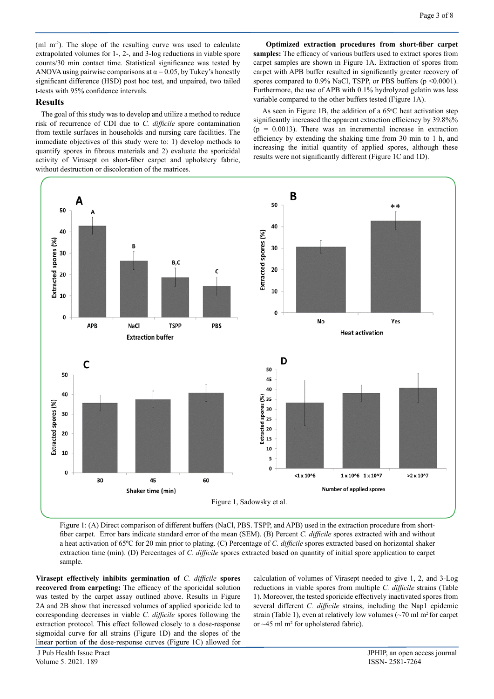(ml  $m<sup>2</sup>$ ). The slope of the resulting curve was used to calculate extrapolated volumes for 1-, 2-, and 3-log reductions in viable spore counts/30 min contact time. Statistical significance was tested by ANOVA using pairwise comparisons at  $\alpha$  = 0.05, by Tukey's honestly significant difference (HSD) post hoc test, and unpaired, two tailed t-tests with 95% confidence intervals.

#### **Results**

The goal of this study was to develop and utilize a method to reduce risk of recurrence of CDI due to *C. difficile* spore contamination from textile surfaces in households and nursing care facilities. The immediate objectives of this study were to: 1) develop methods to quantify spores in fibrous materials and 2) evaluate the sporicidal activity of Virasept on short-fiber carpet and upholstery fabric, without destruction or discoloration of the matrices.

 **Optimized extraction procedures from short-fiber carpet samples:** The efficacy of various buffers used to extract spores from carpet samples are shown in Figure 1A. Extraction of spores from carpet with APB buffer resulted in significantly greater recovery of spores compared to 0.9% NaCl, TSPP, or PBS buffers (p <0.0001). Furthermore, the use of APB with 0.1% hydrolyzed gelatin was less variable compared to the other buffers tested (Figure 1A).

As seen in Figure 1B, the addition of a  $65^{\circ}$ C heat activation step significantly increased the apparent extraction efficiency by 39.8%%  $(p = 0.0013)$ . There was an incremental increase in extraction efficiency by extending the shaking time from 30 min to 1 h, and increasing the initial quantity of applied spores, although these results were not significantly different (Figure 1C and 1D).



Figure 1: (A) Direct comparison of different buffers (NaCl, PBS. TSPP, and APB) used in the extraction procedure from shortfiber carpet. Error bars indicate standard error of the mean (SEM). (B) Percent *C. difficile* spores extracted with and without a heat activation of 65ºC for 20 min prior to plating. (C) Percentage of *C. difficile* spores extracted based on horizontal shaker extraction time (min). (D) Percentages of *C. difficile* spores extracted based on quantity of initial spore application to carpet sample.

**Virasept effectively inhibits germination of** *C. difficile* **spores recovered from carpeting:** The efficacy of the sporicidal solution was tested by the carpet assay outlined above. Results in Figure 2A and 2B show that increased volumes of applied sporicide led to corresponding decreases in viable *C. difficile* spores following the extraction protocol. This effect followed closely to a dose-response sigmoidal curve for all strains (Figure 1D) and the slopes of the linear portion of the dose-response curves (Figure 1C) allowed for

calculation of volumes of Virasept needed to give 1, 2, and 3-Log reductions in viable spores from multiple *C. difficile* strains (Table 1). Moreover, the tested sporicide effectively inactivated spores from several different *C. difficile* strains, including the Nap1 epidemic strain (Table 1), even at relatively low volumes  $\left(\frac{1}{2}\right)$  ml m<sup>2</sup> for carpet or  $~15$  ml m<sup>2</sup> for upholstered fabric).

Volume 5. 2021. 189 ISSN- 2581-7264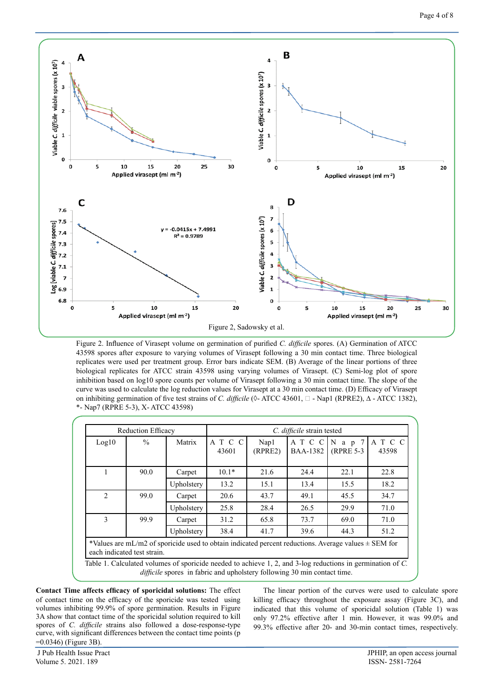

Figure 2. Influence of Virasept volume on germination of purified *C. difficile* spores. (A) Germination of ATCC 43598 spores after exposure to varying volumes of Virasept following a 30 min contact time. Three biological replicates were used per treatment group. Error bars indicate SEM. (B) Average of the linear portions of three biological replicates for ATCC strain 43598 using varying volumes of Virasept. (C) Semi-log plot of spore inhibition based on log10 spore counts per volume of Virasept following a 30 min contact time. The slope of the curve was used to calculate the log reduction values for Virasept at a 30 min contact time. (D) Efficacy of Virasept on inhibiting germination of five test strains of *C. difficile* (◊- ATCC 43601, - Nap1 (RPRE2), ∆ - ATCC 1382), \*- Nap7 (RPRE 5-3), Χ- ATCC 43598)

| <b>Reduction Efficacy</b> |                             |                                                                                                                                                                                               | C. difficile strain tested |                 |                            |                         |               |
|---------------------------|-----------------------------|-----------------------------------------------------------------------------------------------------------------------------------------------------------------------------------------------|----------------------------|-----------------|----------------------------|-------------------------|---------------|
| Log10                     | $\frac{0}{0}$               | Matrix                                                                                                                                                                                        | A T C C<br>43601           | Nap1<br>(RPRE2) | A T C C<br><b>BAA-1382</b> | $N$ a p 7<br>(RPRE 5-3) | ATCC<br>43598 |
|                           | 90.0                        | Carpet                                                                                                                                                                                        | $10.1*$                    | 21.6            | 24.4                       | 22.1                    | 22.8          |
|                           |                             | Upholstery                                                                                                                                                                                    | 13.2                       | 15.1            | 13.4                       | 15.5                    | 18.2          |
| $\mathfrak{D}$            | 99.0                        | Carpet                                                                                                                                                                                        | 20.6                       | 43.7            | 49.1                       | 45.5                    | 34.7          |
|                           |                             | Upholstery                                                                                                                                                                                    | 25.8                       | 28.4            | 26.5                       | 29.9                    | 71.0          |
| $\mathbf{3}$              | 99.9                        | Carpet                                                                                                                                                                                        | 31.2                       | 65.8            | 73.7                       | 69.0                    | 71.0          |
|                           |                             | Upholstery                                                                                                                                                                                    | 38.4                       | 41.7            | 39.6                       | 44.3                    | 51.2          |
|                           | each indicated test strain. | *Values are mL/m2 of sporicide used to obtain indicated percent reductions. Average values $\pm$ SEM for                                                                                      |                            |                 |                            |                         |               |
|                           |                             | Table 1. Calculated volumes of sporicide needed to achieve 1, 2, and 3-log reductions in germination of C.<br><i>difficile</i> spores in fabric and upholstery following 30 min contact time. |                            |                 |                            |                         |               |

**Contact Time affects efficacy of sporicidal solutions:** The effect of contact time on the efficacy of the sporicide was tested using volumes inhibiting 99.9% of spore germination. Results in Figure 3A show that contact time of the sporicidal solution required to kill spores of *C. difficile* strains also followed a dose-response-type curve, with significant differences between the contact time points (p =0.0346) (Figure 3B).

 The linear portion of the curves were used to calculate spore killing efficacy throughout the exposure assay (Figure 3C), and indicated that this volume of sporicidal solution (Table 1) was only 97.2% effective after 1 min. However, it was 99.0% and 99.3% effective after 20- and 30-min contact times, respectively.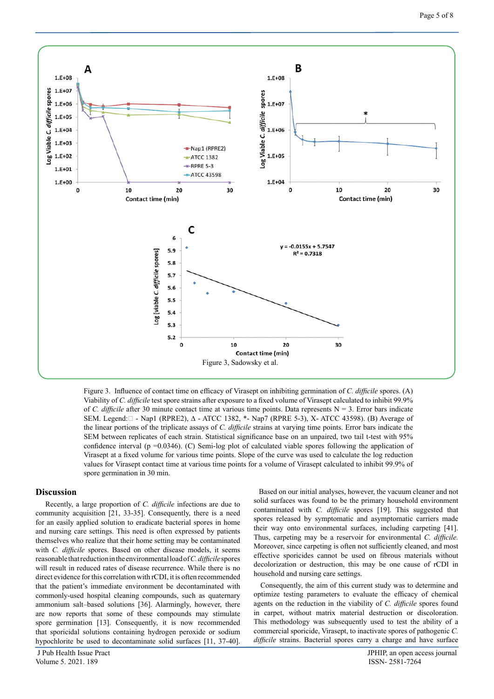

Figure 3. Influence of contact time on efficacy of Virasept on inhibiting germination of *C. difficile* spores. (A) Viability of *C. difficile* test spore strains after exposure to a fixed volume of Virasept calculated to inhibit 99.9% of *C. difficile* after 30 minute contact time at various time points. Data represents  $N = 3$ . Error bars indicate SEM. Legend: □ - Nap1 (RPRE2), Δ - ATCC 1382, \*- Nap7 (RPRE 5-3), X- ATCC 43598). (B) Average of the linear portions of the triplicate assays of *C. difficile* strains at varying time points. Error bars indicate the SEM between replicates of each strain. Statistical significance base on an unpaired, two tail t-test with 95% confidence interval (p =0.0346). (C) Semi-log plot of calculated viable spores following the application of Virasept at a fixed volume for various time points. Slope of the curve was used to calculate the log reduction values for Virasept contact time at various time points for a volume of Virasept calculated to inhibit 99.9% of spore germination in 30 min.

#### **Discussion**

Recently, a large proportion of *C. difficile* infections are due to community acquisition [21, 33-35]. Consequently, there is a need for an easily applied solution to eradicate bacterial spores in home and nursing care settings. This need is often expressed by patients themselves who realize that their home setting may be contaminated with *C. difficile* spores. Based on other disease models, it seems reasonable that reduction in the environmental load of *C. difficile* spores will result in reduced rates of disease recurrence. While there is no direct evidence for this correlation with rCDI, it is often recommended that the patient's immediate environment be decontaminated with commonly-used hospital cleaning compounds, such as quaternary ammonium salt–based solutions [36]. Alarmingly, however, there are now reports that some of these compounds may stimulate spore germination [13]. Consequently, it is now recommended that sporicidal solutions containing hydrogen peroxide or sodium hypochlorite be used to decontaminate solid surfaces [11, 37-40].

 Based on our initial analyses, however, the vacuum cleaner and not solid surfaces was found to be the primary household environment contaminated with *C. difficile* spores [19]. This suggested that spores released by symptomatic and asymptomatic carriers made their way onto environmental surfaces, including carpeting [41]. Thus, carpeting may be a reservoir for environmental *C. difficile.*  Moreover, since carpeting is often not sufficiently cleaned, and most effective sporicides cannot be used on fibrous materials without decolorization or destruction, this may be one cause of rCDI in household and nursing care settings.

 Consequently, the aim of this current study was to determine and optimize testing parameters to evaluate the efficacy of chemical agents on the reduction in the viability of *C. difficile* spores found in carpet, without matrix material destruction or discoloration. This methodology was subsequently used to test the ability of a commercial sporicide, Virasept, to inactivate spores of pathogenic *C. difficile* strains. Bacterial spores carry a charge and have surface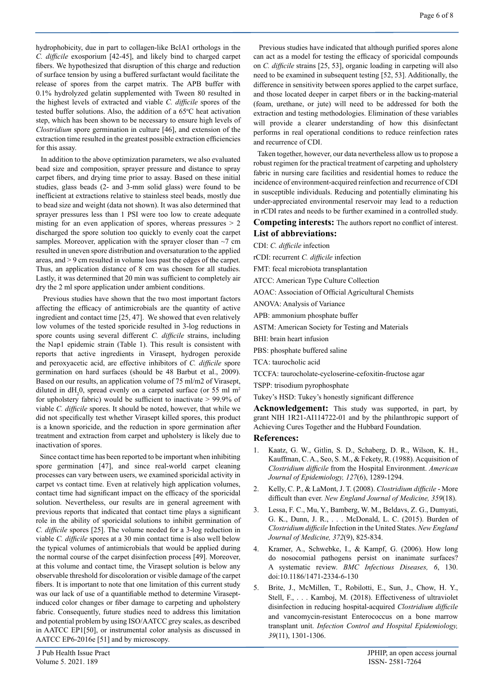hydrophobicity, due in part to collagen-like BclA1 orthologs in the *C. difficile* exosporium [42-45], and likely bind to charged carpet fibers. We hypothesized that disruption of this charge and reduction of surface tension by using a buffered surfactant would facilitate the release of spores from the carpet matrix. The APB buffer with 0.1% hydrolyzed gelatin supplemented with Tween 80 resulted in the highest levels of extracted and viable *C. difficile* spores of the tested buffer solutions. Also, the addition of a  $65^{\circ}$ C heat activation step, which has been shown to be necessary to ensure high levels of *Clostridium* spore germination in culture [46], and extension of the extraction time resulted in the greatest possible extraction efficiencies for this assay.

 In addition to the above optimization parameters, we also evaluated bead size and composition, sprayer pressure and distance to spray carpet fibers, and drying time prior to assay. Based on these initial studies, glass beads (2- and 3-mm solid glass) were found to be inefficient at extractions relative to stainless steel beads, mostly due to bead size and weight (data not shown). It was also determined that sprayer pressures less than 1 PSI were too low to create adequate misting for an even application of spores, whereas pressures  $> 2$ discharged the spore solution too quickly to evenly coat the carpet samples. Moreover, application with the sprayer closer than  $\sim$ 7 cm resulted in uneven spore distribution and oversaturation to the applied areas, and > 9 cm resulted in volume loss past the edges of the carpet. Thus, an application distance of 8 cm was chosen for all studies. Lastly, it was determined that 20 min was sufficient to completely air dry the 2 ml spore application under ambient conditions.

 Previous studies have shown that the two most important factors affecting the efficacy of antimicrobials are the quantity of active ingredient and contact time [25, 47]. We showed that even relatively low volumes of the tested sporicide resulted in 3-log reductions in spore counts using several different *C. difficile* strains, including the Nap1 epidemic strain (Table 1). This result is consistent with reports that active ingredients in Virasept, hydrogen peroxide and peroxyacetic acid, are effective inhibitors of *C. difficile* spore germination on hard surfaces (should be 48 Barbut et al., 2009). Based on our results, an application volume of 75 ml/m2 of Virasept, diluted in  $dH_2$ 0, spread evenly on a carpeted surface (or 55 ml m<sup>2</sup> for upholstery fabric) would be sufficient to inactivate > 99.9% of viable *C. difficile* spores. It should be noted, however, that while we did not specifically test whether Virasept killed spores, this product is a known sporicide, and the reduction in spore germination after treatment and extraction from carpet and upholstery is likely due to inactivation of spores.

 Since contact time has been reported to be important when inhibiting spore germination [47], and since real-world carpet cleaning processes can vary between users, we examined sporicidal activity in carpet vs contact time. Even at relatively high application volumes, contact time had significant impact on the efficacy of the sporicidal solution. Nevertheless, our results are in general agreement with previous reports that indicated that contact time plays a significant role in the ability of sporicidal solutions to inhibit germination of *C. difficile* spores [25]. The volume needed for a 3-log reduction in viable *C. difficile* spores at a 30 min contact time is also well below the typical volumes of antimicrobials that would be applied during the normal course of the carpet disinfection process [49]. Moreover, at this volume and contact time, the Virasept solution is below any observable threshold for discoloration or visible damage of the carpet fibers. It is important to note that one limitation of this current study was our lack of use of a quantifiable method to determine Viraseptinduced color changes or fiber damage to carpeting and upholstery fabric. Consequently, future studies need to address this limitation and potential problem by using ISO/AATCC grey scales, as described in AATCC EP1[50], or instrumental color analysis as discussed in AATCC EP6-2016e [51] and by microscopy.

 Previous studies have indicated that although purified spores alone can act as a model for testing the efficacy of sporicidal compounds on *C. difficile* strains [25, 53], organic loading in carpeting will also need to be examined in subsequent testing [52, 53]. Additionally, the difference in sensitivity between spores applied to the carpet surface, and those located deeper in carpet fibers or in the backing-material (foam, urethane, or jute) will need to be addressed for both the extraction and testing methodologies. Elimination of these variables will provide a clearer understanding of how this disinfectant performs in real operational conditions to reduce reinfection rates and recurrence of CDI.

 Taken together, however, our data nevertheless allow us to propose a robust regimen for the practical treatment of carpeting and upholstery fabric in nursing care facilities and residential homes to reduce the incidence of environment-acquired reinfection and recurrence of CDI in susceptible individuals. Reducing and potentially eliminating his under-appreciated environmental reservoir may lead to a reduction in rCDI rates and needs to be further examined in a controlled study.

**Competing interests:** The authors report no conflict of interest. **List of abbreviations:**

## CDI: *C. difficile* infection

- rCDI: recurrent *C. difficile* infection
- FMT: fecal microbiota transplantation
- ATCC: American Type Culture Collection
- AOAC: Association of Official Agricultural Chemists
- ANOVA: Analysis of Variance
- APB: ammonium phosphate buffer
- ASTM: American Society for Testing and Materials
- BHI: brain heart infusion
- PBS: phosphate buffered saline
- TCA: taurocholic acid
- TCCFA: taurocholate-cycloserine-cefoxitin-fructose agar
- TSPP: trisodium pyrophosphate
- Tukey's HSD: Tukey's honestly significant difference

**Acknowledgement:** This study was supported, in part, by grant NIH 1R21-AI114722-01 and by the philanthropic support of Achieving Cures Together and the Hubbard Foundation.

## **References:**

- 1. Kaatz, G. W., Gitlin, S. D., Schaberg, D. R., Wilson, K. H., Kauffman, C. A., Seo, S. M., & Fekety, R. (1988). Acquisition of *Clostridium difficile* from the Hospital Environment. *American Journal of Epidemiology, 127*(6), 1289-1294.
- 2. Kelly, C. P., & LaMont, J. T. (2008). *Clostridium difficile* More difficult than ever. *New England Journal of Medicine, 359*(18).
- 3. Lessa, F. C., Mu, Y., Bamberg, W. M., Beldavs, Z. G., Dumyati, G. K., Dunn, J. R., . . . McDonald, L. C. (2015). Burden of *Clostridium difficile* Infection in the United States. *New England Journal of Medicine, 372*(9), 825-834.
- 4. Kramer, A., Schwebke, I., & Kampf, G. (2006). How long do nosocomial pathogens persist on inanimate surfaces? A systematic review. *BMC Infectious Diseases, 6*, 130. doi:10.1186/1471-2334-6-130
- 5. Brite, J., McMillen, T., Robilotti, E., Sun, J., Chow, H. Y., Stell, F., . . . Kamboj, M. (2018). Effectiveness of ultraviolet disinfection in reducing hospital-acquired *Clostridium difficile*  and vancomycin-resistant Enterococcus on a bone marrow transplant unit. *Infection Control and Hospital Epidemiology, 39*(11), 1301-1306.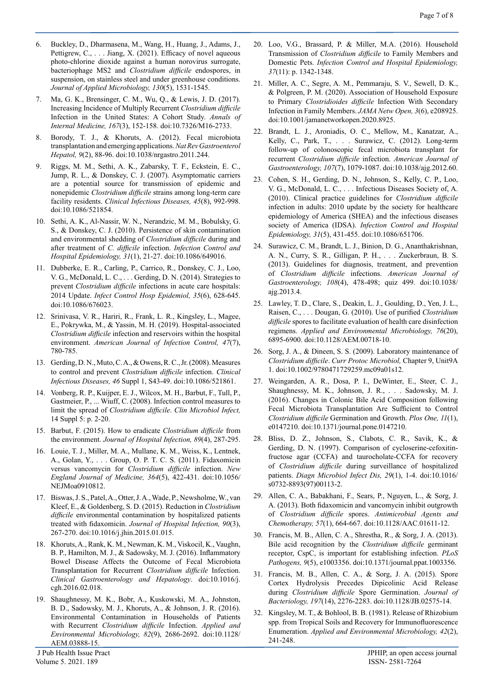- 6. Buckley, D., Dharmasena, M., Wang, H., Huang, J., Adams, J., Pettigrew, C., ... Jiang, X. (2021). Efficacy of novel aqueous photo-chlorine dioxide against a human norovirus surrogate, bacteriophage MS2 and *Clostridium difficile* endospores, in suspension, on stainless steel and under greenhouse conditions. *Journal of Applied Microbiology, 130*(5), 1531-1545.
- Ma, G. K., Brensinger, C. M., Wu, Q., & Lewis, J. D. (2017). Increasing Incidence of Multiply Recurrent *Clostridium difficile* Infection in the United States: A Cohort Study. *Annals of Internal Medicine, 167*(3), 152-158. doi:10.7326/M16-2733.
- 8. Borody, T. J., & Khoruts, A. (2012). Fecal microbiota transplantation and emerging applications. *Nat Rev Gastroenterol Hepatol, 9*(2), 88-96. doi:10.1038/nrgastro.2011.244.
- 9. Riggs, M. M., Sethi, A. K., Zabarsky, T. F., Eckstein, E. C., Jump, R. L., & Donskey, C. J. (2007). Asymptomatic carriers are a potential source for transmission of epidemic and nonepidemic *Clostridium difficile* strains among long-term care facility residents. *Clinical Infectious Diseases, 45*(8), 992-998. doi:10.1086/521854.
- 10. Sethi, A. K., Al-Nassir, W. N., Nerandzic, M. M., Bobulsky, G. S., & Donskey, C. J. (2010). Persistence of skin contamination and environmental shedding of *Clostridium difficile* during and after treatment of *C. difficile* infection. *Infection Control and Hospital Epidemiology, 31*(1), 21-27. doi:10.1086/649016.
- 11. Dubberke, E. R., Carling, P., Carrico, R., Donskey, C. J., Loo, V. G., McDonald, L. C., . . . Gerding, D. N. (2014). Strategies to prevent *Clostridium difficile* infections in acute care hospitals: 2014 Update. *Infect Control Hosp Epidemiol, 35*(6), 628-645. doi:10.1086/676023.
- 12. Srinivasa, V. R., Hariri, R., Frank, L. R., Kingsley, L., Magee, E., Pokrywka, M., & Yassin, M. H. (2019). Hospital-associated *Clostridium difficile* infection and reservoirs within the hospital environment. *American Journal of Infection Control, 47*(7), 780-785.
- 13. Gerding, D. N., Muto, C. A., & Owens, R. C., Jr. (2008). Measures to control and prevent *Clostridium difficile* infection. *Clinical Infectious Diseases, 46* Suppl 1, S43-49. doi:10.1086/521861.
- 14. Vonberg, R. P., Kuijper, E. J., Wilcox, M. H., Barbut, F., Tull, P., Gastmeier, P., ... Wiuff, C. (2008). Infection control measures to limit the spread of *Clostridium difficile*. *Clin Microbiol Infect,*  14 Suppl 5: p. 2-20.
- 15. Barbut, F. (2015). How to eradicate *Clostridium difficile* from the environment. *Journal of Hospital Infection, 89*(4), 287-295.
- 16. Louie, T. J., Miller, M. A., Mullane, K. M., Weiss, K., Lentnek, A., Golan, Y., . . . Group, O. P. T. C. S. (2011). Fidaxomicin versus vancomycin for *Clostridium difficile* infection. *New England Journal of Medicine, 364*(5), 422-431. doi:10.1056/ NEJMoa0910812.
- 17. Biswas, J. S., Patel, A., Otter, J. A., Wade, P., Newsholme, W., van Kleef, E., & Goldenberg, S. D. (2015). Reduction in *Clostridium difficile* environmental contamination by hospitalized patients treated with fidaxomicin. *Journal of Hospital Infection, 90*(3), 267-270. doi:10.1016/j.jhin.2015.01.015.
- 18. Khoruts, A., Rank, K. M., Newman, K. M., Viskocil, K., Vaughn, B. P., Hamilton, M. J., & Sadowsky, M. J. (2016). Inflammatory Bowel Disease Affects the Outcome of Fecal Microbiota Transplantation for Recurrent *Clostridium difficile* Infection. *Clinical Gastroenterology and Hepatology*. doi:10.1016/j. cgh.2016.02.018.
- 19. Shaughnessy, M. K., Bobr, A., Kuskowski, M. A., Johnston, B. D., Sadowsky, M. J., Khoruts, A., & Johnson, J. R. (2016). Environmental Contamination in Households of Patients with Recurrent *Clostridium difficile* Infection. *Applied and Environmental Microbiology, 82*(9), 2686-2692. doi:10.1128/ AEM.03888-15.
- 21. Miller, A. C., Segre, A. M., Pemmaraju, S. V., Sewell, D. K., & Polgreen, P. M. (2020). Association of Household Exposure to Primary *Clostridioides difficile* Infection With Secondary Infection in Family Members. *JAMA Netw Open, 3*(6), e208925. doi:10.1001/jamanetworkopen.2020.8925.
- 22. Brandt, L. J., Aroniadis, O. C., Mellow, M., Kanatzar, A., Kelly, C., Park, T., . . . Surawicz, C. (2012). Long-term follow-up of colonoscopic fecal microbiota transplant for recurrent *Clostridium difficile* infection. *American Journal of Gastroenterology, 107*(7), 1079-1087. doi:10.1038/ajg.2012.60.
- 23. Cohen, S. H., Gerding, D. N., Johnson, S., Kelly, C. P., Loo, V. G., McDonald, L. C., . . . Infectious Diseases Society of, A. (2010). Clinical practice guidelines for *Clostridium difficile*  infection in adults: 2010 update by the society for healthcare epidemiology of America (SHEA) and the infectious diseases society of America (IDSA). *Infection Control and Hospital Epidemiology, 31*(5), 431-455. doi:10.1086/651706.
- 24. Surawicz, C. M., Brandt, L. J., Binion, D. G., Ananthakrishnan, A. N., Curry, S. R., Gilligan, P. H., . . . Zuckerbraun, B. S. (2013). Guidelines for diagnosis, treatment, and prevention of *Clostridium difficile* infections. *American Journal of Gastroenterology, 108*(4), 478-498; quiz 499. doi:10.1038/ ajg.2013.4.
- 25. Lawley, T. D., Clare, S., Deakin, L. J., Goulding, D., Yen, J. L., Raisen, C., . . . Dougan, G. (2010). Use of purified *Clostridium difficile* spores to facilitate evaluation of health care disinfection regimens. *Applied and Environmental Microbiology, 76*(20), 6895-6900. doi:10.1128/AEM.00718-10.
- 26. Sorg, J. A., & Dineen, S. S. (2009). Laboratory maintenance of *Clostridium difficile*. *Curr Protoc Microbiol,* Chapter 9, Unit9A 1. doi:10.1002/9780471729259.mc09a01s12.
- 27. Weingarden, A. R., Dosa, P. I., DeWinter, E., Steer, C. J., Shaughnessy, M. K., Johnson, J. R., . . . Sadowsky, M. J. (2016). Changes in Colonic Bile Acid Composition following Fecal Microbiota Transplantation Are Sufficient to Control *Clostridium difficile* Germination and Growth. *Plos One, 11*(1), e0147210. doi:10.1371/journal.pone.0147210.
- 28. Bliss, D. Z., Johnson, S., Clabots, C. R., Savik, K., & Gerding, D. N. (1997). Comparison of cycloserine-cefoxitinfructose agar (CCFA) and taurocholate-CCFA for recovery of *Clostridium difficile* during surveillance of hospitalized patients. *Diagn Microbiol Infect Dis, 29*(1), 1-4. doi:10.1016/ s0732-8893(97)00113-2.
- 29. Allen, C. A., Babakhani, F., Sears, P., Nguyen, L., & Sorg, J. A. (2013). Both fidaxomicin and vancomycin inhibit outgrowth of *Clostridium difficile* spores. *Antimicrobial Agents and Chemotherapy, 57*(1), 664-667. doi:10.1128/AAC.01611-12.
- 30. Francis, M. B., Allen, C. A., Shrestha, R., & Sorg, J. A. (2013). Bile acid recognition by the *Clostridium difficile* germinant receptor, CspC, is important for establishing infection. *PLoS Pathogens, 9*(5), e1003356. doi:10.1371/journal.ppat.1003356.
- 31. Francis, M. B., Allen, C. A., & Sorg, J. A. (2015). Spore Cortex Hydrolysis Precedes Dipicolinic Acid Release during *Clostridium difficile* Spore Germination. *Journal of Bacteriology, 197*(14), 2276-2283. doi:10.1128/JB.02575-14.
- 32. Kingsley, M. T., & Bohlool, B. B. (1981). Release of Rhizobium spp. from Tropical Soils and Recovery for Immunofluorescence Enumeration. *Applied and Environmental Microbiology, 42*(2), 241-248.